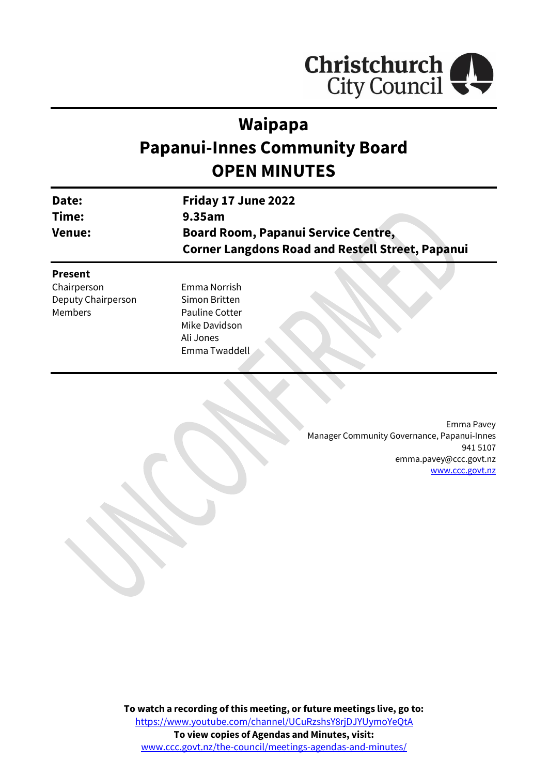

# **Waipapa Papanui-Innes Community Board OPEN MINUTES**

| Date:          | Friday 17 June 2022                                     |  |  |
|----------------|---------------------------------------------------------|--|--|
| Time:          | 9.35am                                                  |  |  |
| <b>Venue:</b>  | <b>Board Room, Papanui Service Centre,</b>              |  |  |
|                | <b>Corner Langdons Road and Restell Street, Papanui</b> |  |  |
| <b>Present</b> |                                                         |  |  |
| Chairperson    | Emma Norrish                                            |  |  |

Deputy Chairperson Members

Simon Britten Pauline Cotter Mike Davidson Ali Jones Emma Twaddell

> Emma Pavey Manager Community Governance, Papanui-Innes 941 5107 emma.pavey@ccc.govt.nz [www.ccc.govt.nz](http://www.ccc.govt.nz/)

**To watch a recording of this meeting, or future meetings live, go to:** [https://www.youtube.com/channel/UCuRzshsY8rjDJYUymoYeQtA](https://aus01.safelinks.protection.outlook.com/?url=https%3A%2F%2Fwww.youtube.com%2Fchannel%2FUCuRzshsY8rjDJYUymoYeQtA&data=05%7C01%7CMatthew.Boult%40ccc.govt.nz%7C5a1a543348e149173c2608da3df8ac16%7C45c97e4ebd8d4ddcbd6e2d62daa2a011%7C0%7C0%7C637890435492430387%7CUnknown%7CTWFpbGZsb3d8eyJWIjoiMC4wLjAwMDAiLCJQIjoiV2luMzIiLCJBTiI6Ik1haWwiLCJXVCI6Mn0%3D%7C3000%7C%7C%7C&sdata=YknKNMGOXDlfgFyQoEKzGxCPbJ1FTfUbsgX7rTxme2s%3D&reserved=0) **To view copies of Agendas and Minutes, visit:** [www.ccc.govt.nz/the-council/meetings-agendas-and-minutes/](https://www.ccc.govt.nz/the-council/meetings-agendas-and-minutes/)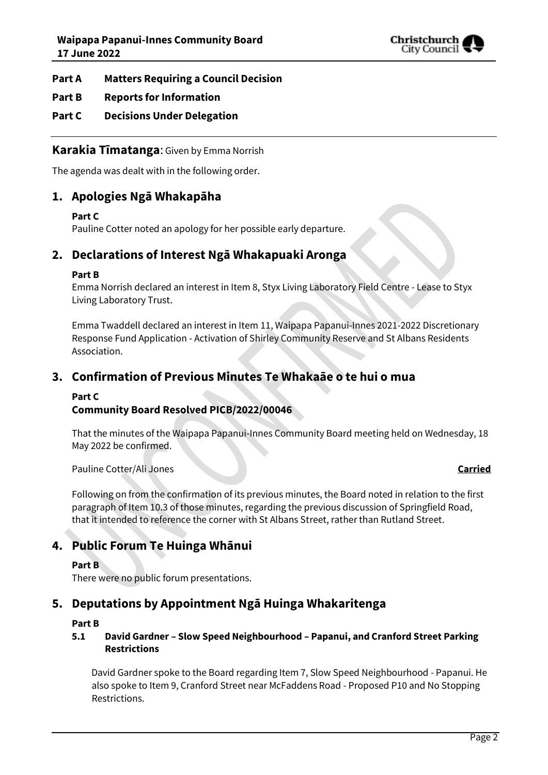

# **Part A Matters Requiring a Council Decision**

# **Part B Reports for Information**

# **Part C Decisions Under Delegation**

# **Karakia Tīmatanga**: Given by Emma Norrish

The agenda was dealt with in the following order.

# **1. Apologies Ngā Whakapāha**

## **Part C**

Pauline Cotter noted an apology for her possible early departure.

# **2. Declarations of Interest Ngā Whakapuaki Aronga**

## **Part B**

Emma Norrish declared an interest in Item 8, Styx Living Laboratory Field Centre - Lease to Styx Living Laboratory Trust.

Emma Twaddell declared an interest in Item 11, Waipapa Papanui-Innes 2021-2022 Discretionary Response Fund Application - Activation of Shirley Community Reserve and St Albans Residents Association.

# **3. Confirmation of Previous Minutes Te Whakaāe o te hui o mua**

## **Part C**

# **Community Board Resolved PICB/2022/00046**

That the minutes of the Waipapa Papanui-Innes Community Board meeting held on Wednesday, 18 May 2022 be confirmed.

Pauline Cotter/Ali Jones **Carried**

Following on from the confirmation of its previous minutes, the Board noted in relation to the first paragraph of Item 10.3 of those minutes, regarding the previous discussion of Springfield Road, that it intended to reference the corner with St Albans Street, rather than Rutland Street.

# **4. Public Forum Te Huinga Whānui**

## **Part B**

There were no public forum presentations.

# **5. Deputations by Appointment Ngā Huinga Whakaritenga**

### **Part B**

## **5.1 David Gardner – Slow Speed Neighbourhood – Papanui, and Cranford Street Parking Restrictions**

David Gardner spoke to the Board regarding Item 7, Slow Speed Neighbourhood - Papanui. He also spoke to Item 9, Cranford Street near McFaddens Road - Proposed P10 and No Stopping Restrictions.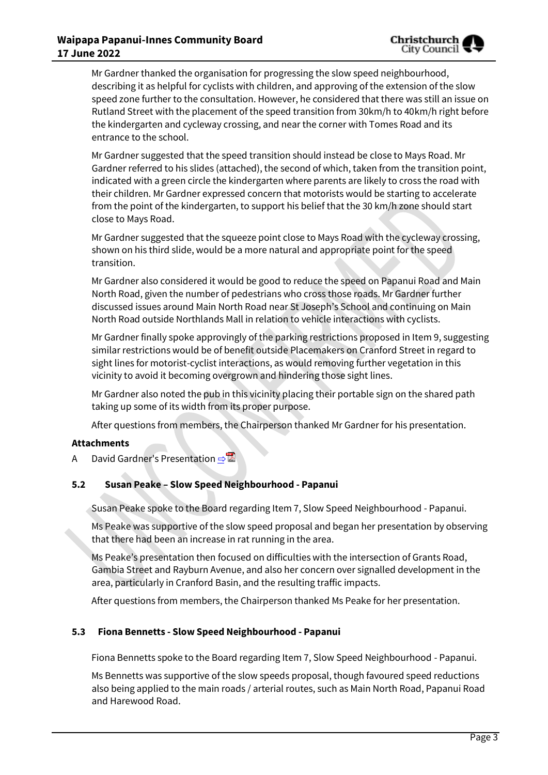Mr Gardner thanked the organisation for progressing the slow speed neighbourhood, describing it as helpful for cyclists with children, and approving of the extension of the slow speed zone further to the consultation. However, he considered that there was still an issue on Rutland Street with the placement of the speed transition from 30km/h to 40km/h right before the kindergarten and cycleway crossing, and near the corner with Tomes Road and its entrance to the school.

Mr Gardner suggested that the speed transition should instead be close to Mays Road. Mr Gardner referred to his slides (attached), the second of which, taken from the transition point, indicated with a green circle the kindergarten where parents are likely to cross the road with their children. Mr Gardner expressed concern that motorists would be starting to accelerate from the point of the kindergarten, to support his belief that the 30 km/h zone should start close to Mays Road.

Mr Gardner suggested that the squeeze point close to Mays Road with the cycleway crossing, shown on his third slide, would be a more natural and appropriate point for the speed transition.

Mr Gardner also considered it would be good to reduce the speed on Papanui Road and Main North Road, given the number of pedestrians who cross those roads. Mr Gardner further discussed issues around Main North Road near St Joseph's School and continuing on Main North Road outside Northlands Mall in relation to vehicle interactions with cyclists.

Mr Gardner finally spoke approvingly of the parking restrictions proposed in Item 9, suggesting similar restrictions would be of benefit outside Placemakers on Cranford Street in regard to sight lines for motorist-cyclist interactions, as would removing further vegetation in this vicinity to avoid it becoming overgrown and hindering those sight lines.

Mr Gardner also noted the pub in this vicinity placing their portable sign on the shared path taking up some of its width from its proper purpose.

After questions from members, the Chairperson thanked Mr Gardner for his presentation.

# **Attachments**

A David Gardner's Presentation ⇒

# **5.2 Susan Peake – Slow Speed Neighbourhood - Papanui**

Susan Peake spoke to the Board regarding Item 7, Slow Speed Neighbourhood - Papanui.

Ms Peake was supportive of the slow speed proposal and began her presentation by observing that there had been an increase in rat running in the area.

Ms Peake's presentation then focused on difficulties with the intersection of Grants Road, Gambia Street and Rayburn Avenue, and also her concern over signalled development in the area, particularly in Cranford Basin, and the resulting traffic impacts.

After questions from members, the Chairperson thanked Ms Peake for her presentation.

# **5.3 Fiona Bennetts - Slow Speed Neighbourhood - Papanui**

Fiona Bennetts spoke to the Board regarding Item 7, Slow Speed Neighbourhood - Papanui.

Ms Bennetts was supportive of the slow speeds proposal, though favoured speed reductions also being applied to the main roads / arterial routes, such as Main North Road, Papanui Road and Harewood Road.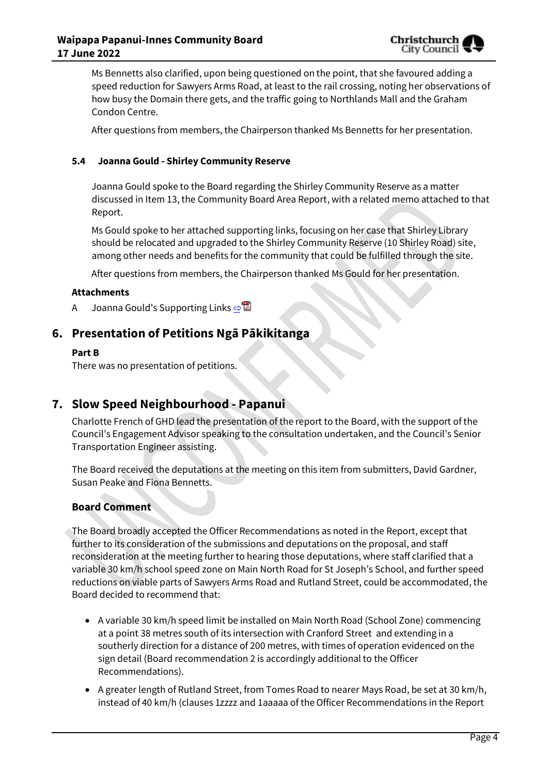

Ms Bennetts also clarified, upon being questioned on the point, that she favoured adding a speed reduction for Sawyers Arms Road, at least to the rail crossing, noting her observations of how busy the Domain there gets, and the traffic going to Northlands Mall and the Graham Condon Centre.

After questions from members, the Chairperson thanked Ms Bennetts for her presentation.

## **5.4 Joanna Gould - Shirley Community Reserve**

Joanna Gould spoke to the Board regarding the Shirley Community Reserve as a matter discussed in Item 13, the Community Board Area Report, with a related memo attached to that Report.

Ms Gould spoke to her attached supporting links, focusing on her case that Shirley Library should be relocated and upgraded to the Shirley Community Reserve (10 Shirley Road) site, among other needs and benefits for the community that could be fulfilled through the site.

After questions from members, the Chairperson thanked Ms Gould for her presentation.

### **Attachments**

A Joanna Gould's Supporting Links ⇒

# **6. Presentation of Petitions Ngā Pākikitanga**

### **Part B**

There was no presentation of petitions.

# **7. Slow Speed Neighbourhood - Papanui**

Charlotte French of GHD lead the presentation of the report to the Board, with the support of the Council's Engagement Advisor speaking to the consultation undertaken, and the Council's Senior Transportation Engineer assisting.

The Board received the deputations at the meeting on this item from submitters, David Gardner, Susan Peake and Fiona Bennetts.

## **Board Comment**

The Board broadly accepted the Officer Recommendations as noted in the Report, except that further to its consideration of the submissions and deputations on the proposal, and staff reconsideration at the meeting further to hearing those deputations, where staff clarified that a variable 30 km/h school speed zone on Main North Road for St Joseph's School, and further speed reductions on viable parts of Sawyers Arms Road and Rutland Street, could be accommodated, the Board decided to recommend that:

- A variable 30 km/h speed limit be installed on Main North Road (School Zone) commencing at a point 38 metres south of its intersection with Cranford Street and extending in a southerly direction for a distance of 200 metres, with times of operation evidenced on the sign detail (Board recommendation 2 is accordingly additional to the Officer Recommendations).
- A greater length of Rutland Street, from Tomes Road to nearer Mays Road, be set at 30 km/h, instead of 40 km/h (clauses 1zzzz and 1aaaaa of the Officer Recommendations in the Report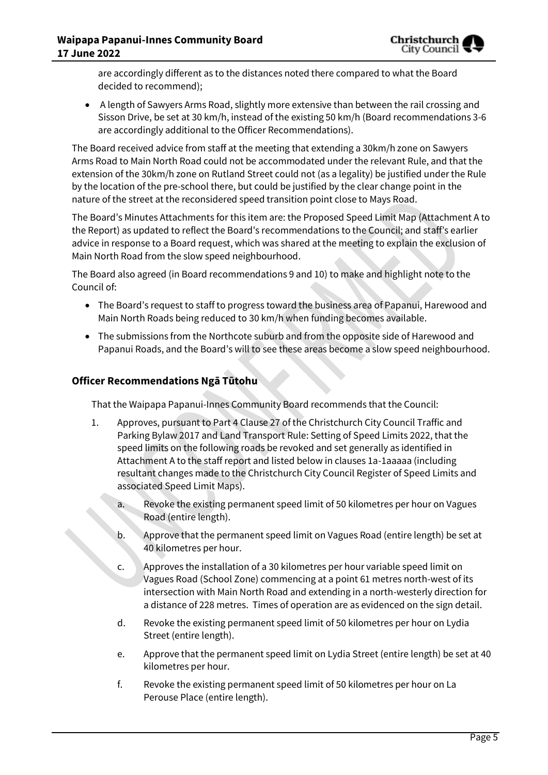are accordingly different as to the distances noted there compared to what the Board decided to recommend);

 A length of Sawyers Arms Road, slightly more extensive than between the rail crossing and Sisson Drive, be set at 30 km/h, instead of the existing 50 km/h (Board recommendations 3-6 are accordingly additional to the Officer Recommendations).

The Board received advice from staff at the meeting that extending a 30km/h zone on Sawyers Arms Road to Main North Road could not be accommodated under the relevant Rule, and that the extension of the 30km/h zone on Rutland Street could not (as a legality) be justified under the Rule by the location of the pre-school there, but could be justified by the clear change point in the nature of the street at the reconsidered speed transition point close to Mays Road.

The Board's Minutes Attachments for this item are: the Proposed Speed Limit Map (Attachment A to the Report) as updated to reflect the Board's recommendations to the Council; and staff's earlier advice in response to a Board request, which was shared at the meeting to explain the exclusion of Main North Road from the slow speed neighbourhood.

The Board also agreed (in Board recommendations 9 and 10) to make and highlight note to the Council of:

- The Board's request to staff to progress toward the business area of Papanui, Harewood and Main North Roads being reduced to 30 km/h when funding becomes available.
- The submissions from the Northcote suburb and from the opposite side of Harewood and Papanui Roads, and the Board's will to see these areas become a slow speed neighbourhood.

# **Officer Recommendations Ngā Tūtohu**

That the Waipapa Papanui-Innes Community Board recommends that the Council:

- 1. Approves, pursuant to Part 4 Clause 27 of the Christchurch City Council Traffic and Parking Bylaw 2017 and Land Transport Rule: Setting of Speed Limits 2022, that the speed limits on the following roads be revoked and set generally as identified in Attachment A to the staff report and listed below in clauses 1a-1aaaaa (including resultant changes made to the Christchurch City Council Register of Speed Limits and associated Speed Limit Maps).
	- a. Revoke the existing permanent speed limit of 50 kilometres per hour on Vagues Road (entire length).
	- b. Approve that the permanent speed limit on Vagues Road (entire length) be set at 40 kilometres per hour.
	- c. Approves the installation of a 30 kilometres per hour variable speed limit on Vagues Road (School Zone) commencing at a point 61 metres north-west of its intersection with Main North Road and extending in a north-westerly direction for a distance of 228 metres. Times of operation are as evidenced on the sign detail.
	- d. Revoke the existing permanent speed limit of 50 kilometres per hour on Lydia Street (entire length).
	- e. Approve that the permanent speed limit on Lydia Street (entire length) be set at 40 kilometres per hour.
	- f. Revoke the existing permanent speed limit of 50 kilometres per hour on La Perouse Place (entire length).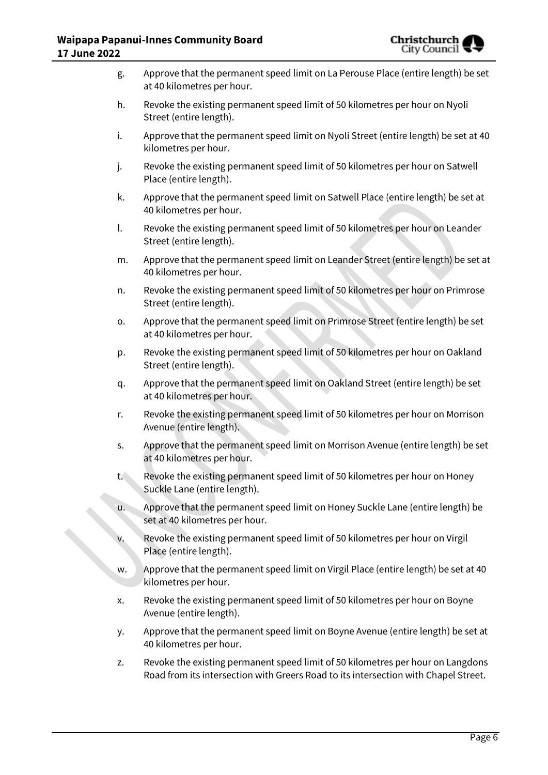

| g.    | Approve that the permanent speed limit on La Perouse Place (entire length) be set<br>at 40 kilometres per hour.                                                        |
|-------|------------------------------------------------------------------------------------------------------------------------------------------------------------------------|
| h.    | Revoke the existing permanent speed limit of 50 kilometres per hour on Nyoli<br>Street (entire length).                                                                |
| i.    | Approve that the permanent speed limit on Nyoli Street (entire length) be set at 40<br>kilometres per hour.                                                            |
| j.    | Revoke the existing permanent speed limit of 50 kilometres per hour on Satwell<br>Place (entire length).                                                               |
| k.    | Approve that the permanent speed limit on Satwell Place (entire length) be set at<br>40 kilometres per hour.                                                           |
| l.    | Revoke the existing permanent speed limit of 50 kilometres per hour on Leander<br>Street (entire length).                                                              |
| m.    | Approve that the permanent speed limit on Leander Street (entire length) be set at<br>40 kilometres per hour.                                                          |
| n.    | Revoke the existing permanent speed limit of 50 kilometres per hour on Primrose<br>Street (entire length).                                                             |
| 0.    | Approve that the permanent speed limit on Primrose Street (entire length) be set<br>at 40 kilometres per hour.                                                         |
| p.    | Revoke the existing permanent speed limit of 50 kilometres per hour on Oakland<br>Street (entire length).                                                              |
| q.    | Approve that the permanent speed limit on Oakland Street (entire length) be set<br>at 40 kilometres per hour.                                                          |
| r.    | Revoke the existing permanent speed limit of 50 kilometres per hour on Morrison<br>Avenue (entire length).                                                             |
| S.    | Approve that the permanent speed limit on Morrison Avenue (entire length) be set<br>at 40 kilometres per hour.                                                         |
| $t$ . | Revoke the existing permanent speed limit of 50 kilometres per hour on Honey<br>Suckle Lane (entire length).                                                           |
| u.    | Approve that the permanent speed limit on Honey Suckle Lane (entire length) be<br>set at 40 kilometres per hour.                                                       |
| V.    | Revoke the existing permanent speed limit of 50 kilometres per hour on Virgil<br>Place (entire length).                                                                |
| w.    | Approve that the permanent speed limit on Virgil Place (entire length) be set at 40<br>kilometres per hour.                                                            |
| x.    | Revoke the existing permanent speed limit of 50 kilometres per hour on Boyne<br>Avenue (entire length).                                                                |
| у.    | Approve that the permanent speed limit on Boyne Avenue (entire length) be set at<br>40 kilometres per hour.                                                            |
| z.    | Revoke the existing permanent speed limit of 50 kilometres per hour on Langdons<br>Road from its intersection with Greers Road to its intersection with Chapel Street. |
|       |                                                                                                                                                                        |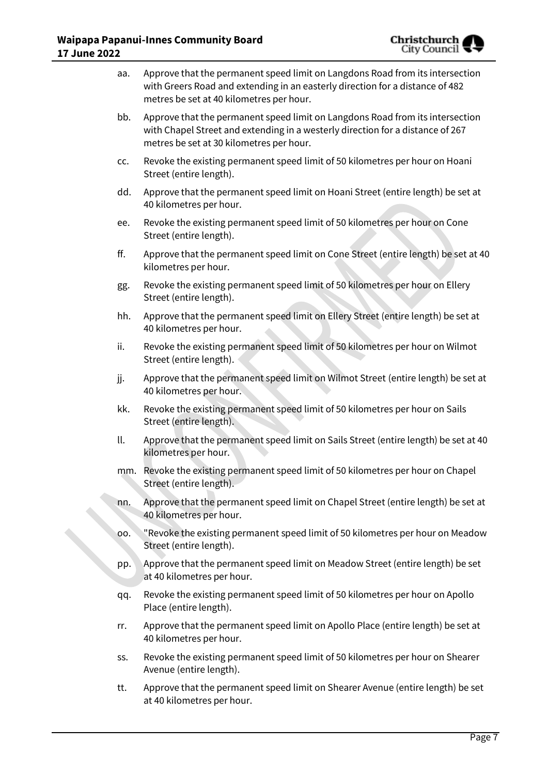| <b>7 June 2022</b> |     | raipapa rapanui-innes community board                                                                                                                                                                       | շութառատ<br>City Council $\blacktriangledown$ |
|--------------------|-----|-------------------------------------------------------------------------------------------------------------------------------------------------------------------------------------------------------------|-----------------------------------------------|
|                    | aa. | Approve that the permanent speed limit on Langdons Road from its intersection<br>with Greers Road and extending in an easterly direction for a distance of 482<br>metres be set at 40 kilometres per hour.  |                                               |
|                    | bb. | Approve that the permanent speed limit on Langdons Road from its intersection<br>with Chapel Street and extending in a westerly direction for a distance of 267<br>metres be set at 30 kilometres per hour. |                                               |
|                    | CC. | Revoke the existing permanent speed limit of 50 kilometres per hour on Hoani<br>Street (entire length).                                                                                                     |                                               |
|                    | dd. | Approve that the permanent speed limit on Hoani Street (entire length) be set at<br>40 kilometres per hour.                                                                                                 |                                               |
|                    | ee. | Revoke the existing permanent speed limit of 50 kilometres per hour on Cone<br>Street (entire length).                                                                                                      |                                               |
|                    | ff. | Approve that the permanent speed limit on Cone Street (entire length) be set at 40<br>kilometres per hour.                                                                                                  |                                               |
|                    | gg. | Revoke the existing permanent speed limit of 50 kilometres per hour on Ellery<br>Street (entire length).                                                                                                    |                                               |
|                    | hh. | Approve that the permanent speed limit on Ellery Street (entire length) be set at<br>40 kilometres per hour.                                                                                                |                                               |
|                    | ii. | Revoke the existing permanent speed limit of 50 kilometres per hour on Wilmot<br>Street (entire length).                                                                                                    |                                               |
|                    | jj. | Approve that the permanent speed limit on Wilmot Street (entire length) be set at<br>40 kilometres per hour.                                                                                                |                                               |
|                    | kk. | Revoke the existing permanent speed limit of 50 kilometres per hour on Sails<br>Street (entire length).                                                                                                     |                                               |
|                    | II. | Approve that the permanent speed limit on Sails Street (entire length) be set at 40<br>kilometres per hour.                                                                                                 |                                               |
|                    |     | mm. Revoke the existing permanent speed limit of 50 kilometres per hour on Chapel<br>Street (entire length).                                                                                                |                                               |
|                    | nn. | Approve that the permanent speed limit on Chapel Street (entire length) be set at<br>40 kilometres per hour.                                                                                                |                                               |
|                    | 00. | "Revoke the existing permanent speed limit of 50 kilometres per hour on Meadow<br>Street (entire length).                                                                                                   |                                               |
|                    | pp. | Approve that the permanent speed limit on Meadow Street (entire length) be set<br>at 40 kilometres per hour.                                                                                                |                                               |
|                    | qq. | Revoke the existing permanent speed limit of 50 kilometres per hour on Apollo<br>Place (entire length).                                                                                                     |                                               |
|                    | rr. | Approve that the permanent speed limit on Apollo Place (entire length) be set at<br>40 kilometres per hour.                                                                                                 |                                               |
|                    | SS. | Revoke the existing permanent speed limit of 50 kilometres per hour on Shearer<br>Avenue (entire length).                                                                                                   |                                               |
|                    | tt. | Approve that the permanent speed limit on Shearer Avenue (entire length) be set<br>at 40 kilometres per hour.                                                                                               |                                               |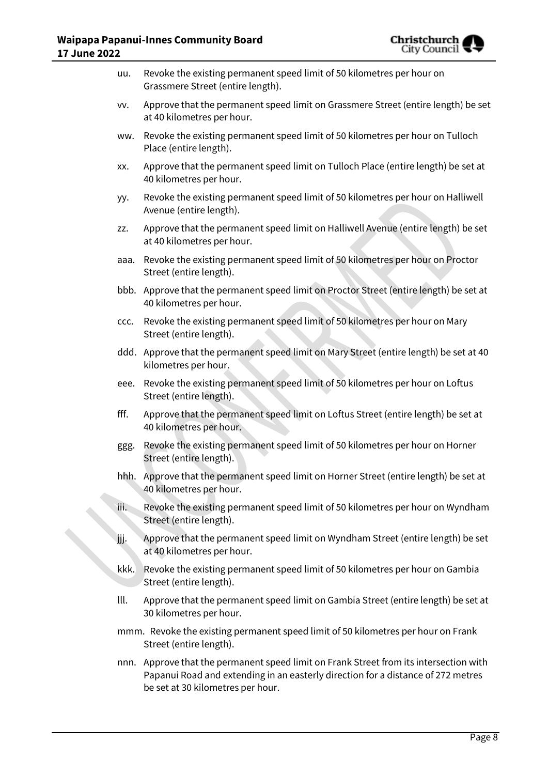

| uu.  | Revoke the existing permanent speed limit of 50 kilometres per hour on<br>Grassmere Street (entire length).                                                                                                     |
|------|-----------------------------------------------------------------------------------------------------------------------------------------------------------------------------------------------------------------|
| VV.  | Approve that the permanent speed limit on Grassmere Street (entire length) be set<br>at 40 kilometres per hour.                                                                                                 |
| ww.  | Revoke the existing permanent speed limit of 50 kilometres per hour on Tulloch<br>Place (entire length).                                                                                                        |
| XX.  | Approve that the permanent speed limit on Tulloch Place (entire length) be set at<br>40 kilometres per hour.                                                                                                    |
| yy.  | Revoke the existing permanent speed limit of 50 kilometres per hour on Halliwell<br>Avenue (entire length).                                                                                                     |
| ZZ.  | Approve that the permanent speed limit on Halliwell Avenue (entire length) be set<br>at 40 kilometres per hour.                                                                                                 |
| aaa. | Revoke the existing permanent speed limit of 50 kilometres per hour on Proctor<br>Street (entire length).                                                                                                       |
|      | bbb. Approve that the permanent speed limit on Proctor Street (entire length) be set at<br>40 kilometres per hour.                                                                                              |
| CCC. | Revoke the existing permanent speed limit of 50 kilometres per hour on Mary<br>Street (entire length).                                                                                                          |
|      | ddd. Approve that the permanent speed limit on Mary Street (entire length) be set at 40<br>kilometres per hour.                                                                                                 |
| eee. | Revoke the existing permanent speed limit of 50 kilometres per hour on Loftus<br>Street (entire length).                                                                                                        |
| fff. | Approve that the permanent speed limit on Loftus Street (entire length) be set at<br>40 kilometres per hour.                                                                                                    |
| ggg. | Revoke the existing permanent speed limit of 50 kilometres per hour on Horner<br>Street (entire length).                                                                                                        |
|      | hhh. Approve that the permanent speed limit on Horner Street (entire length) be set at<br>40 kilometres per hour.                                                                                               |
| iii. | Revoke the existing permanent speed limit of 50 kilometres per hour on Wyndham<br>Street (entire length).                                                                                                       |
| jjj. | Approve that the permanent speed limit on Wyndham Street (entire length) be set<br>at 40 kilometres per hour.                                                                                                   |
| kkk. | Revoke the existing permanent speed limit of 50 kilometres per hour on Gambia<br>Street (entire length).                                                                                                        |
| III. | Approve that the permanent speed limit on Gambia Street (entire length) be set at<br>30 kilometres per hour.                                                                                                    |
|      | mmm. Revoke the existing permanent speed limit of 50 kilometres per hour on Frank<br>Street (entire length).                                                                                                    |
|      | nnn. Approve that the permanent speed limit on Frank Street from its intersection with<br>Papanui Road and extending in an easterly direction for a distance of 272 metres<br>be set at 30 kilometres per hour. |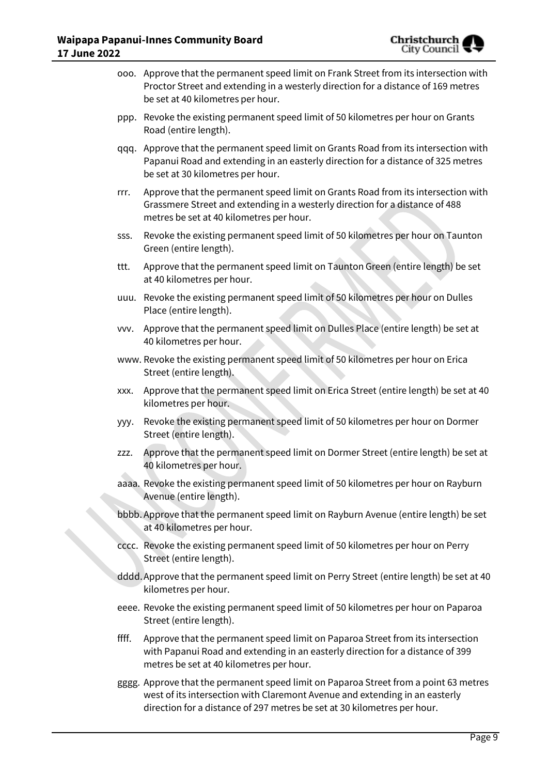

- ooo. Approve that the permanent speed limit on Frank Street from its intersection with Proctor Street and extending in a westerly direction for a distance of 169 metres be set at 40 kilometres per hour.
- ppp. Revoke the existing permanent speed limit of 50 kilometres per hour on Grants Road (entire length).
- qqq. Approve that the permanent speed limit on Grants Road from its intersection with Papanui Road and extending in an easterly direction for a distance of 325 metres be set at 30 kilometres per hour.
- rrr. Approve that the permanent speed limit on Grants Road from its intersection with Grassmere Street and extending in a westerly direction for a distance of 488 metres be set at 40 kilometres per hour.
- sss. Revoke the existing permanent speed limit of 50 kilometres per hour on Taunton Green (entire length).
- ttt. Approve that the permanent speed limit on Taunton Green (entire length) be set at 40 kilometres per hour.
- uuu. Revoke the existing permanent speed limit of 50 kilometres per hour on Dulles Place (entire length).
- vvv. Approve that the permanent speed limit on Dulles Place (entire length) be set at 40 kilometres per hour.
- www. Revoke the existing permanent speed limit of 50 kilometres per hour on Erica Street (entire length).
- xxx. Approve that the permanent speed limit on Erica Street (entire length) be set at 40 kilometres per hour.
- yyy. Revoke the existing permanent speed limit of 50 kilometres per hour on Dormer Street (entire length).
- zzz. Approve that the permanent speed limit on Dormer Street (entire length) be set at 40 kilometres per hour.
- aaaa. Revoke the existing permanent speed limit of 50 kilometres per hour on Rayburn Avenue (entire length).
- bbbb. Approve that the permanent speed limit on Rayburn Avenue (entire length) be set at 40 kilometres per hour.
- cccc. Revoke the existing permanent speed limit of 50 kilometres per hour on Perry Street (entire length).
- dddd.Approve that the permanent speed limit on Perry Street (entire length) be set at 40 kilometres per hour.
- eeee. Revoke the existing permanent speed limit of 50 kilometres per hour on Paparoa Street (entire length).
- ffff. Approve that the permanent speed limit on Paparoa Street from its intersection with Papanui Road and extending in an easterly direction for a distance of 399 metres be set at 40 kilometres per hour.
- gggg. Approve that the permanent speed limit on Paparoa Street from a point 63 metres west of its intersection with Claremont Avenue and extending in an easterly direction for a distance of 297 metres be set at 30 kilometres per hour.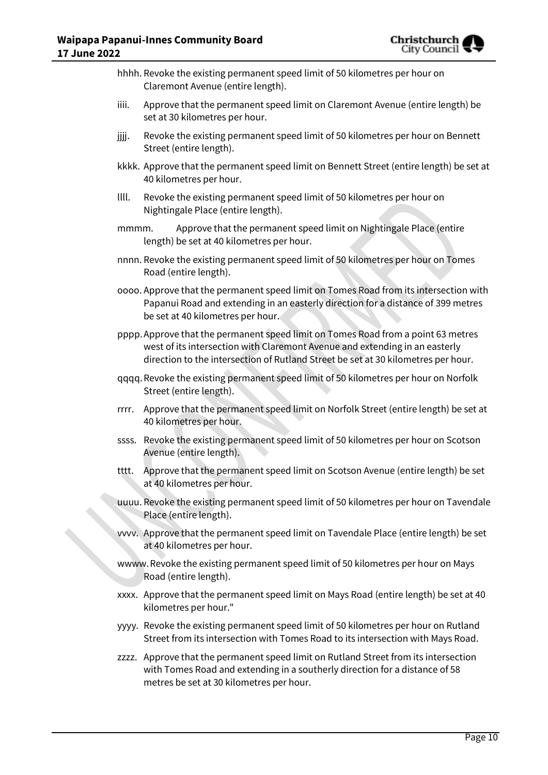

- hhhh. Revoke the existing permanent speed limit of 50 kilometres per hour on Claremont Avenue (entire length).
- iiii. Approve that the permanent speed limit on Claremont Avenue (entire length) be set at 30 kilometres per hour.
- jijj. Revoke the existing permanent speed limit of 50 kilometres per hour on Bennett Street (entire length).
- kkkk. Approve that the permanent speed limit on Bennett Street (entire length) be set at 40 kilometres per hour.
- llll. Revoke the existing permanent speed limit of 50 kilometres per hour on Nightingale Place (entire length).
- mmmm. Approve that the permanent speed limit on Nightingale Place (entire length) be set at 40 kilometres per hour.
- nnnn. Revoke the existing permanent speed limit of 50 kilometres per hour on Tomes Road (entire length).
- oooo. Approve that the permanent speed limit on Tomes Road from its intersection with Papanui Road and extending in an easterly direction for a distance of 399 metres be set at 40 kilometres per hour.
- pppp.Approve that the permanent speed limit on Tomes Road from a point 63 metres west of its intersection with Claremont Avenue and extending in an easterly direction to the intersection of Rutland Street be set at 30 kilometres per hour.
- qqqq.Revoke the existing permanent speed limit of 50 kilometres per hour on Norfolk Street (entire length).
- rrrr. Approve that the permanent speed limit on Norfolk Street (entire length) be set at 40 kilometres per hour.
- ssss. Revoke the existing permanent speed limit of 50 kilometres per hour on Scotson Avenue (entire length).
- tttt. Approve that the permanent speed limit on Scotson Avenue (entire length) be set at 40 kilometres per hour.
- uuuu. Revoke the existing permanent speed limit of 50 kilometres per hour on Tavendale Place (entire length).
- vvvv. Approve that the permanent speed limit on Tavendale Place (entire length) be set at 40 kilometres per hour.
- wwww.Revoke the existing permanent speed limit of 50 kilometres per hour on Mays Road (entire length).
- xxxx. Approve that the permanent speed limit on Mays Road (entire length) be set at 40 kilometres per hour."
- yyyy. Revoke the existing permanent speed limit of 50 kilometres per hour on Rutland Street from its intersection with Tomes Road to its intersection with Mays Road.
- zzzz. Approve that the permanent speed limit on Rutland Street from its intersection with Tomes Road and extending in a southerly direction for a distance of 58 metres be set at 30 kilometres per hour.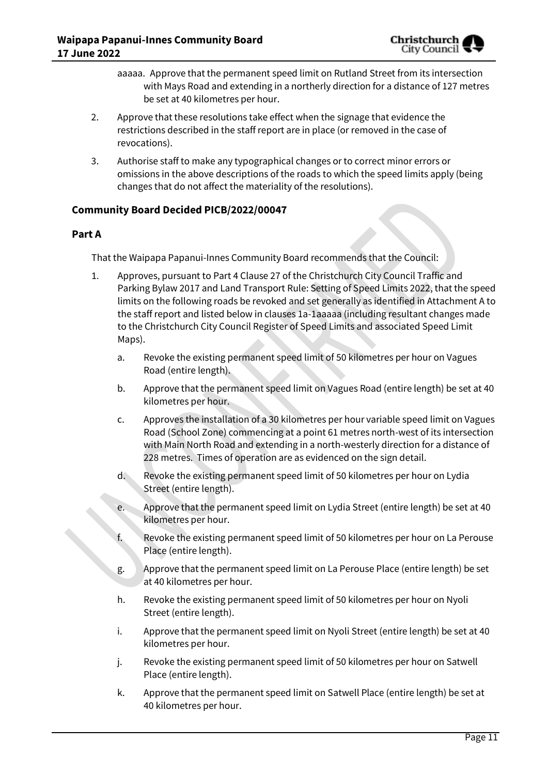

- aaaaa. Approve that the permanent speed limit on Rutland Street from its intersection with Mays Road and extending in a northerly direction for a distance of 127 metres be set at 40 kilometres per hour.
- 2. Approve that these resolutions take effect when the signage that evidence the restrictions described in the staff report are in place (or removed in the case of revocations).
- 3. Authorise staff to make any typographical changes or to correct minor errors or omissions in the above descriptions of the roads to which the speed limits apply (being changes that do not affect the materiality of the resolutions).

## **Community Board Decided PICB/2022/00047**

## **Part A**

That the Waipapa Papanui-Innes Community Board recommends that the Council:

- 1. Approves, pursuant to Part 4 Clause 27 of the Christchurch City Council Traffic and Parking Bylaw 2017 and Land Transport Rule: Setting of Speed Limits 2022, that the speed limits on the following roads be revoked and set generally as identified in Attachment A to the staff report and listed below in clauses 1a-1aaaaa (including resultant changes made to the Christchurch City Council Register of Speed Limits and associated Speed Limit Maps).
	- a. Revoke the existing permanent speed limit of 50 kilometres per hour on Vagues Road (entire length).
	- b. Approve that the permanent speed limit on Vagues Road (entire length) be set at 40 kilometres per hour.
	- c. Approves the installation of a 30 kilometres per hour variable speed limit on Vagues Road (School Zone) commencing at a point 61 metres north-west of its intersection with Main North Road and extending in a north-westerly direction for a distance of 228 metres. Times of operation are as evidenced on the sign detail.
	- d. Revoke the existing permanent speed limit of 50 kilometres per hour on Lydia Street (entire length).
	- e. Approve that the permanent speed limit on Lydia Street (entire length) be set at 40 kilometres per hour.
	- f. Revoke the existing permanent speed limit of 50 kilometres per hour on La Perouse Place (entire length).
		- g. Approve that the permanent speed limit on La Perouse Place (entire length) be set at 40 kilometres per hour.
		- h. Revoke the existing permanent speed limit of 50 kilometres per hour on Nyoli Street (entire length).
		- i. Approve that the permanent speed limit on Nyoli Street (entire length) be set at 40 kilometres per hour.
		- j. Revoke the existing permanent speed limit of 50 kilometres per hour on Satwell Place (entire length).
		- k. Approve that the permanent speed limit on Satwell Place (entire length) be set at 40 kilometres per hour.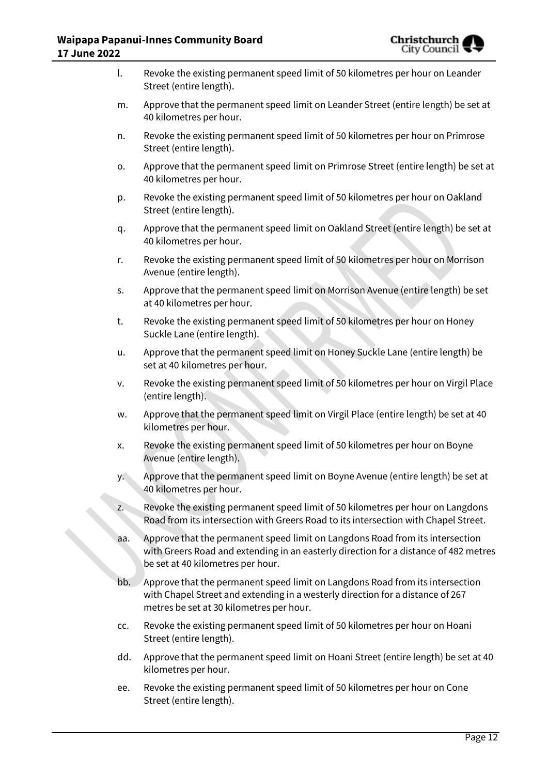

| $\mathsf{l}$ . |           | Revoke the existing permanent speed limit of 50 kilometres per hour on Leander<br>Street (entire length).                                                                                                   |
|----------------|-----------|-------------------------------------------------------------------------------------------------------------------------------------------------------------------------------------------------------------|
| m.             |           | Approve that the permanent speed limit on Leander Street (entire length) be set at<br>40 kilometres per hour.                                                                                               |
| n.             |           | Revoke the existing permanent speed limit of 50 kilometres per hour on Primrose<br>Street (entire length).                                                                                                  |
| 0.             |           | Approve that the permanent speed limit on Primrose Street (entire length) be set at<br>40 kilometres per hour.                                                                                              |
| p.             |           | Revoke the existing permanent speed limit of 50 kilometres per hour on Oakland<br>Street (entire length).                                                                                                   |
| q.             |           | Approve that the permanent speed limit on Oakland Street (entire length) be set at<br>40 kilometres per hour.                                                                                               |
| r.             |           | Revoke the existing permanent speed limit of 50 kilometres per hour on Morrison<br>Avenue (entire length).                                                                                                  |
| S.             |           | Approve that the permanent speed limit on Morrison Avenue (entire length) be set<br>at 40 kilometres per hour.                                                                                              |
| t.             |           | Revoke the existing permanent speed limit of 50 kilometres per hour on Honey<br>Suckle Lane (entire length).                                                                                                |
| u.             |           | Approve that the permanent speed limit on Honey Suckle Lane (entire length) be<br>set at 40 kilometres per hour.                                                                                            |
| v.             |           | Revoke the existing permanent speed limit of 50 kilometres per hour on Virgil Place<br>(entire length).                                                                                                     |
| w.             |           | Approve that the permanent speed limit on Virgil Place (entire length) be set at 40<br>kilometres per hour.                                                                                                 |
| х.             |           | Revoke the existing permanent speed limit of 50 kilometres per hour on Boyne<br>Avenue (entire length).                                                                                                     |
|                | <b>y.</b> | Approve that the permanent speed limit on Boyne Avenue (entire length) be set at<br>40 kilometres per hour.                                                                                                 |
| z.             |           | Revoke the existing permanent speed limit of 50 kilometres per hour on Langdons<br>Road from its intersection with Greers Road to its intersection with Chapel Street.                                      |
|                | aa.       | Approve that the permanent speed limit on Langdons Road from its intersection<br>with Greers Road and extending in an easterly direction for a distance of 482 metres<br>be set at 40 kilometres per hour.  |
|                | bb.       | Approve that the permanent speed limit on Langdons Road from its intersection<br>with Chapel Street and extending in a westerly direction for a distance of 267<br>metres be set at 30 kilometres per hour. |
| CC.            |           | Revoke the existing permanent speed limit of 50 kilometres per hour on Hoani<br>Street (entire length).                                                                                                     |
|                | dd.       | Approve that the permanent speed limit on Hoani Street (entire length) be set at 40<br>kilometres per hour.                                                                                                 |
|                | ee.       | Revoke the existing permanent speed limit of 50 kilometres per hour on Cone<br>Street (entire length).                                                                                                      |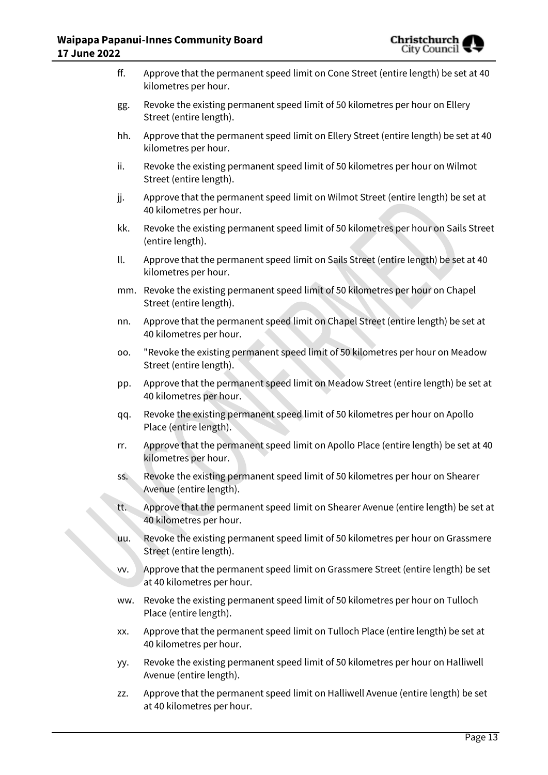

| ff. | Approve that the permanent speed limit on Cone Street (entire length) be set at 40<br>kilometres per hour.      |
|-----|-----------------------------------------------------------------------------------------------------------------|
| gg. | Revoke the existing permanent speed limit of 50 kilometres per hour on Ellery<br>Street (entire length).        |
| hh. | Approve that the permanent speed limit on Ellery Street (entire length) be set at 40<br>kilometres per hour.    |
| ii. | Revoke the existing permanent speed limit of 50 kilometres per hour on Wilmot<br>Street (entire length).        |
| jj. | Approve that the permanent speed limit on Wilmot Street (entire length) be set at<br>40 kilometres per hour.    |
| kk. | Revoke the existing permanent speed limit of 50 kilometres per hour on Sails Street<br>(entire length).         |
| II. | Approve that the permanent speed limit on Sails Street (entire length) be set at 40<br>kilometres per hour.     |
| mm. | Revoke the existing permanent speed limit of 50 kilometres per hour on Chapel<br>Street (entire length).        |
| nn. | Approve that the permanent speed limit on Chapel Street (entire length) be set at<br>40 kilometres per hour.    |
| 00. | "Revoke the existing permanent speed limit of 50 kilometres per hour on Meadow<br>Street (entire length).       |
| pp. | Approve that the permanent speed limit on Meadow Street (entire length) be set at<br>40 kilometres per hour.    |
| qq. | Revoke the existing permanent speed limit of 50 kilometres per hour on Apollo<br>Place (entire length).         |
| rr. | Approve that the permanent speed limit on Apollo Place (entire length) be set at 40<br>kilometres per hour.     |
| SS. | Revoke the existing permanent speed limit of 50 kilometres per hour on Shearer<br>Avenue (entire length).       |
| tt. | Approve that the permanent speed limit on Shearer Avenue (entire length) be set at<br>40 kilometres per hour.   |
| uu. | Revoke the existing permanent speed limit of 50 kilometres per hour on Grassmere<br>Street (entire length).     |
| VV. | Approve that the permanent speed limit on Grassmere Street (entire length) be set<br>at 40 kilometres per hour. |
| ww. | Revoke the existing permanent speed limit of 50 kilometres per hour on Tulloch<br>Place (entire length).        |
| XX. | Approve that the permanent speed limit on Tulloch Place (entire length) be set at<br>40 kilometres per hour.    |
| yy. | Revoke the existing permanent speed limit of 50 kilometres per hour on Halliwell<br>Avenue (entire length).     |
| ZZ. | Approve that the permanent speed limit on Halliwell Avenue (entire length) be set<br>at 40 kilometres per hour. |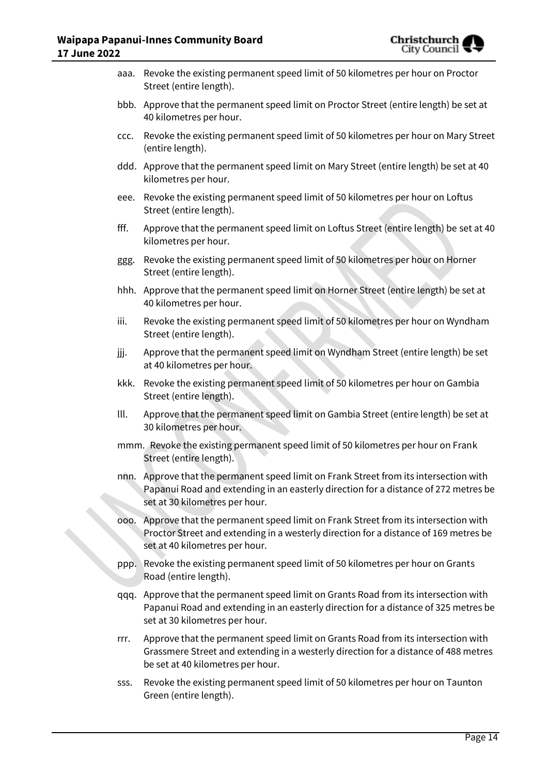| aaa. | Revoke the existing permanent speed limit of 50 kilometres per hour on Proctor<br>Street (entire length).                                                                                                       |
|------|-----------------------------------------------------------------------------------------------------------------------------------------------------------------------------------------------------------------|
|      | bbb. Approve that the permanent speed limit on Proctor Street (entire length) be set at<br>40 kilometres per hour.                                                                                              |
| ccc. | Revoke the existing permanent speed limit of 50 kilometres per hour on Mary Street<br>(entire length).                                                                                                          |
|      | ddd. Approve that the permanent speed limit on Mary Street (entire length) be set at 40<br>kilometres per hour.                                                                                                 |
|      | eee. Revoke the existing permanent speed limit of 50 kilometres per hour on Loftus<br>Street (entire length).                                                                                                   |
| fff. | Approve that the permanent speed limit on Loftus Street (entire length) be set at 40<br>kilometres per hour.                                                                                                    |
| ggg. | Revoke the existing permanent speed limit of 50 kilometres per hour on Horner<br>Street (entire length).                                                                                                        |
|      | hhh. Approve that the permanent speed limit on Horner Street (entire length) be set at<br>40 kilometres per hour.                                                                                               |
| iii. | Revoke the existing permanent speed limit of 50 kilometres per hour on Wyndham<br>Street (entire length).                                                                                                       |
| jjj. | Approve that the permanent speed limit on Wyndham Street (entire length) be set<br>at 40 kilometres per hour.                                                                                                   |
| kkk. | Revoke the existing permanent speed limit of 50 kilometres per hour on Gambia<br>Street (entire length).                                                                                                        |
| III. | Approve that the permanent speed limit on Gambia Street (entire length) be set at<br>30 kilometres per hour.                                                                                                    |
|      | mmm. Revoke the existing permanent speed limit of 50 kilometres per hour on Frank<br>Street (entire length).                                                                                                    |
|      | nnn. Approve that the permanent speed limit on Frank Street from its intersection with<br>Papanui Road and extending in an easterly direction for a distance of 272 metres be<br>set at 30 kilometres per hour. |
| 000. | Approve that the permanent speed limit on Frank Street from its intersection with<br>Proctor Street and extending in a westerly direction for a distance of 169 metres be<br>set at 40 kilometres per hour.     |
| ppp. | Revoke the existing permanent speed limit of 50 kilometres per hour on Grants<br>Road (entire length).                                                                                                          |
|      | qqq. Approve that the permanent speed limit on Grants Road from its intersection with<br>Papanui Road and extending in an easterly direction for a distance of 325 metres be<br>set at 30 kilometres per hour.  |
| rrr. | Approve that the permanent speed limit on Grants Road from its intersection with<br>Grassmere Street and extending in a westerly direction for a distance of 488 metres<br>be set at 40 kilometres per hour.    |
| SSS. | Revoke the existing permanent speed limit of 50 kilometres per hour on Taunton<br>Green (entire length).                                                                                                        |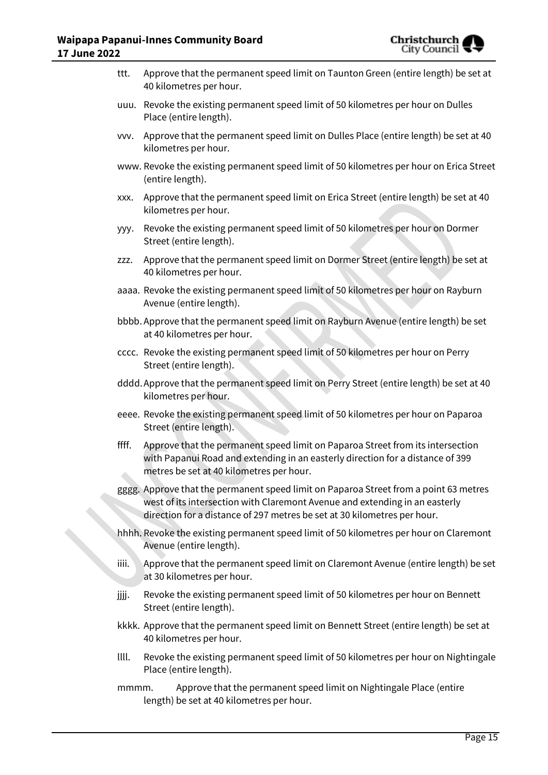

| ttt.  | Approve that the permanent speed limit on Taunton Green (entire length) be set at<br>40 kilometres per hour.                                                                                                                                     |
|-------|--------------------------------------------------------------------------------------------------------------------------------------------------------------------------------------------------------------------------------------------------|
|       | uuu. Revoke the existing permanent speed limit of 50 kilometres per hour on Dulles<br>Place (entire length).                                                                                                                                     |
| VVV.  | Approve that the permanent speed limit on Dulles Place (entire length) be set at 40<br>kilometres per hour.                                                                                                                                      |
|       | www. Revoke the existing permanent speed limit of 50 kilometres per hour on Erica Street<br>(entire length).                                                                                                                                     |
| XXX.  | Approve that the permanent speed limit on Erica Street (entire length) be set at 40<br>kilometres per hour.                                                                                                                                      |
| ууу.  | Revoke the existing permanent speed limit of 50 kilometres per hour on Dormer<br>Street (entire length).                                                                                                                                         |
| ZZZ.  | Approve that the permanent speed limit on Dormer Street (entire length) be set at<br>40 kilometres per hour.                                                                                                                                     |
|       | aaaa. Revoke the existing permanent speed limit of 50 kilometres per hour on Rayburn<br>Avenue (entire length).                                                                                                                                  |
|       | bbbb. Approve that the permanent speed limit on Rayburn Avenue (entire length) be set<br>at 40 kilometres per hour.                                                                                                                              |
|       | cccc. Revoke the existing permanent speed limit of 50 kilometres per hour on Perry<br>Street (entire length).                                                                                                                                    |
|       | dddd. Approve that the permanent speed limit on Perry Street (entire length) be set at 40<br>kilometres per hour.                                                                                                                                |
|       | eeee. Revoke the existing permanent speed limit of 50 kilometres per hour on Paparoa<br>Street (entire length).                                                                                                                                  |
| ffff. | Approve that the permanent speed limit on Paparoa Street from its intersection<br>with Papanui Road and extending in an easterly direction for a distance of 399<br>metres be set at 40 kilometres per hour.                                     |
|       | gggg. Approve that the permanent speed limit on Paparoa Street from a point 63 metres<br>west of its intersection with Claremont Avenue and extending in an easterly<br>direction for a distance of 297 metres be set at 30 kilometres per hour. |
|       | hhhh. Revoke the existing permanent speed limit of 50 kilometres per hour on Claremont<br>Avenue (entire length).                                                                                                                                |
| iiii. | Approve that the permanent speed limit on Claremont Avenue (entire length) be set<br>at 30 kilometres per hour.                                                                                                                                  |
| jjjj. | Revoke the existing permanent speed limit of 50 kilometres per hour on Bennett<br>Street (entire length).                                                                                                                                        |
|       | kkkk. Approve that the permanent speed limit on Bennett Street (entire length) be set at<br>40 kilometres per hour.                                                                                                                              |
| IIII. | Revoke the existing permanent speed limit of 50 kilometres per hour on Nightingale<br>Place (entire length).                                                                                                                                     |
| mmmm. | Approve that the permanent speed limit on Nightingale Place (entire<br>length) be set at 40 kilometres per hour.                                                                                                                                 |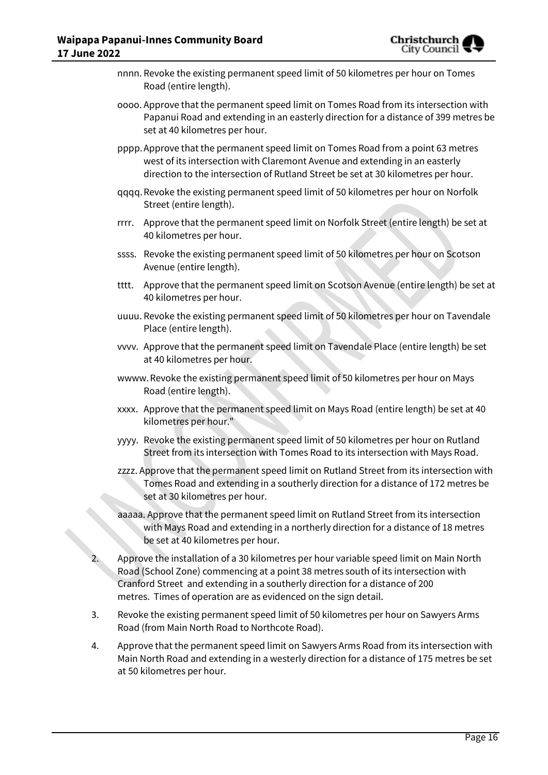

- nnnn. Revoke the existing permanent speed limit of 50 kilometres per hour on Tomes Road (entire length).
- oooo. Approve that the permanent speed limit on Tomes Road from its intersection with Papanui Road and extending in an easterly direction for a distance of 399 metres be set at 40 kilometres per hour.
- pppp.Approve that the permanent speed limit on Tomes Road from a point 63 metres west of its intersection with Claremont Avenue and extending in an easterly direction to the intersection of Rutland Street be set at 30 kilometres per hour.
- qqqq.Revoke the existing permanent speed limit of 50 kilometres per hour on Norfolk Street (entire length).
- rrrr. Approve that the permanent speed limit on Norfolk Street (entire length) be set at 40 kilometres per hour.
- ssss. Revoke the existing permanent speed limit of 50 kilometres per hour on Scotson Avenue (entire length).
- tttt. Approve that the permanent speed limit on Scotson Avenue (entire length) be set at 40 kilometres per hour.
- uuuu. Revoke the existing permanent speed limit of 50 kilometres per hour on Tavendale Place (entire length).
- vvvv. Approve that the permanent speed limit on Tavendale Place (entire length) be set at 40 kilometres per hour.
- wwww.Revoke the existing permanent speed limit of 50 kilometres per hour on Mays Road (entire length).
- xxxx. Approve that the permanent speed limit on Mays Road (entire length) be set at 40 kilometres per hour."
- yyyy. Revoke the existing permanent speed limit of 50 kilometres per hour on Rutland Street from its intersection with Tomes Road to its intersection with Mays Road.
- zzzz. Approve that the permanent speed limit on Rutland Street from its intersection with Tomes Road and extending in a southerly direction for a distance of 172 metres be set at 30 kilometres per hour.
- aaaaa. Approve that the permanent speed limit on Rutland Street from its intersection with Mays Road and extending in a northerly direction for a distance of 18 metres be set at 40 kilometres per hour.
- 2. Approve the installation of a 30 kilometres per hour variable speed limit on Main North Road (School Zone) commencing at a point 38 metres south of its intersection with Cranford Street and extending in a southerly direction for a distance of 200 metres. Times of operation are as evidenced on the sign detail.
- 3. Revoke the existing permanent speed limit of 50 kilometres per hour on Sawyers Arms Road (from Main North Road to Northcote Road).
- 4. Approve that the permanent speed limit on Sawyers Arms Road from its intersection with Main North Road and extending in a westerly direction for a distance of 175 metres be set at 50 kilometres per hour.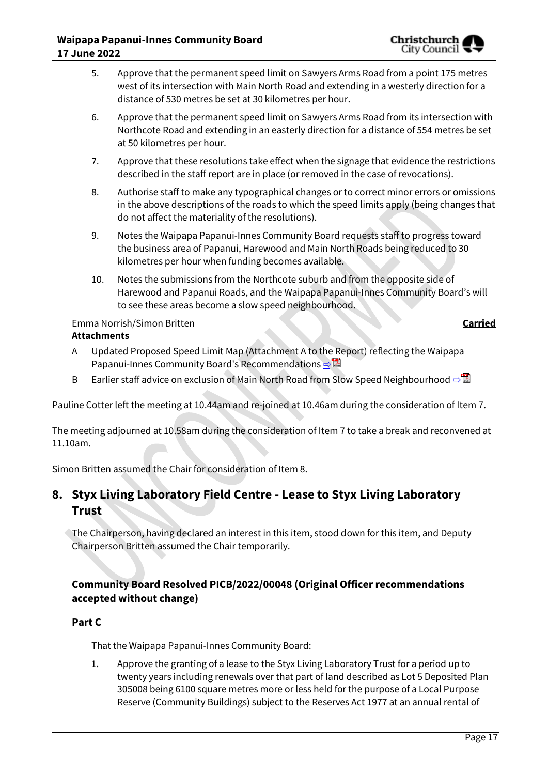- 5. Approve that the permanent speed limit on Sawyers Arms Road from a point 175 metres west of its intersection with Main North Road and extending in a westerly direction for a distance of 530 metres be set at 30 kilometres per hour.
- 6. Approve that the permanent speed limit on Sawyers Arms Road from its intersection with Northcote Road and extending in an easterly direction for a distance of 554 metres be set at 50 kilometres per hour.
- 7. Approve that these resolutions take effect when the signage that evidence the restrictions described in the staff report are in place (or removed in the case of revocations).
- 8. Authorise staff to make any typographical changes or to correct minor errors or omissions in the above descriptions of the roads to which the speed limits apply (being changes that do not affect the materiality of the resolutions).
- 9. Notes the Waipapa Papanui-Innes Community Board requests staff to progress toward the business area of Papanui, Harewood and Main North Roads being reduced to 30 kilometres per hour when funding becomes available.
- 10. Notes the submissions from the Northcote suburb and from the opposite side of Harewood and Papanui Roads, and the Waipapa Papanui-Innes Community Board's will to see these areas become a slow speed neighbourhood.

# Emma Norrish/Simon Britten **Carried**

# **Attachments**

- A Updated Proposed Speed Limit Map (Attachment A to the Report) reflecting the Waipapa Papanui-Innes Community Board's Recommendations [⇨](../../../RedirectToInvalidFileName.aspx?FileName=PICB_20220617_MAT_7648.PDF#PAGE=8)
- B Earlier staff advice on exclusion of Main North Road from Slow Speed Neighbourhood [⇨](../../../RedirectToInvalidFileName.aspx?FileName=PICB_20220617_MAT_7648.PDF#PAGE=9)

Pauline Cotter left the meeting at 10.44am and re-joined at 10.46am during the consideration of Item 7.

The meeting adjourned at 10.58am during the consideration of Item 7 to take a break and reconvened at 11.10am.

Simon Britten assumed the Chair for consideration of Item 8.

# **8. Styx Living Laboratory Field Centre - Lease to Styx Living Laboratory Trust**

The Chairperson, having declared an interest in this item, stood down for this item, and Deputy Chairperson Britten assumed the Chair temporarily.

# **Community Board Resolved PICB/2022/00048 (Original Officer recommendations accepted without change)**

# **Part C**

That the Waipapa Papanui-Innes Community Board:

1. Approve the granting of a lease to the Styx Living Laboratory Trust for a period up to twenty years including renewals over that part of land described as Lot 5 Deposited Plan 305008 being 6100 square metres more or less held for the purpose of a Local Purpose Reserve (Community Buildings) subject to the Reserves Act 1977 at an annual rental of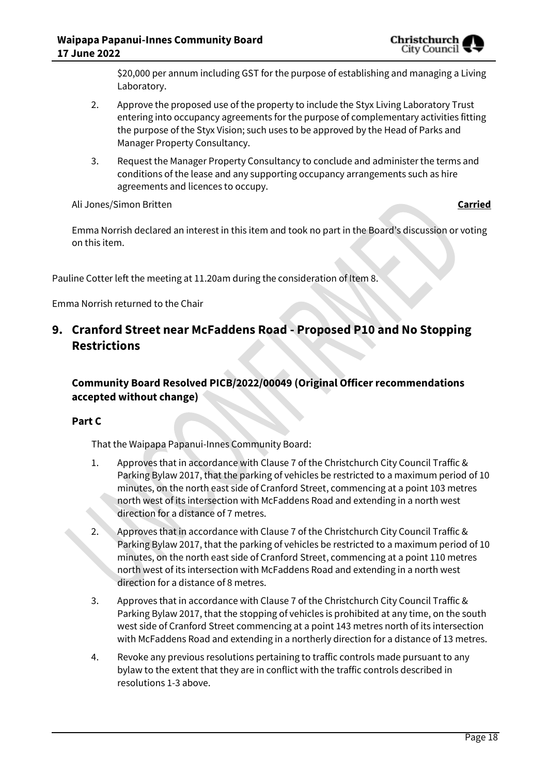

\$20,000 per annum including GST for the purpose of establishing and managing a Living Laboratory.

- 2. Approve the proposed use of the property to include the Styx Living Laboratory Trust entering into occupancy agreements for the purpose of complementary activities fitting the purpose of the Styx Vision; such uses to be approved by the Head of Parks and Manager Property Consultancy.
- 3. Request the Manager Property Consultancy to conclude and administer the terms and conditions of the lease and any supporting occupancy arrangements such as hire agreements and licences to occupy.

## Ali Jones/Simon Britten **Carried**

Emma Norrish declared an interest in this item and took no part in the Board's discussion or voting on this item.

Pauline Cotter left the meeting at 11.20am during the consideration of Item 8.

Emma Norrish returned to the Chair

# **9. Cranford Street near McFaddens Road - Proposed P10 and No Stopping Restrictions**

# **Community Board Resolved PICB/2022/00049 (Original Officer recommendations accepted without change)**

## **Part C**

That the Waipapa Papanui-Innes Community Board:

- 1. Approves that in accordance with Clause 7 of the Christchurch City Council Traffic & Parking Bylaw 2017, that the parking of vehicles be restricted to a maximum period of 10 minutes, on the north east side of Cranford Street, commencing at a point 103 metres north west of its intersection with McFaddens Road and extending in a north west direction for a distance of 7 metres.
- 2. Approves that in accordance with Clause 7 of the Christchurch City Council Traffic & Parking Bylaw 2017, that the parking of vehicles be restricted to a maximum period of 10 minutes, on the north east side of Cranford Street, commencing at a point 110 metres north west of its intersection with McFaddens Road and extending in a north west direction for a distance of 8 metres.
- 3. Approves that in accordance with Clause 7 of the Christchurch City Council Traffic & Parking Bylaw 2017, that the stopping of vehicles is prohibited at any time, on the south west side of Cranford Street commencing at a point 143 metres north of its intersection with McFaddens Road and extending in a northerly direction for a distance of 13 metres.
- 4. Revoke any previous resolutions pertaining to traffic controls made pursuant to any bylaw to the extent that they are in conflict with the traffic controls described in resolutions 1-3 above.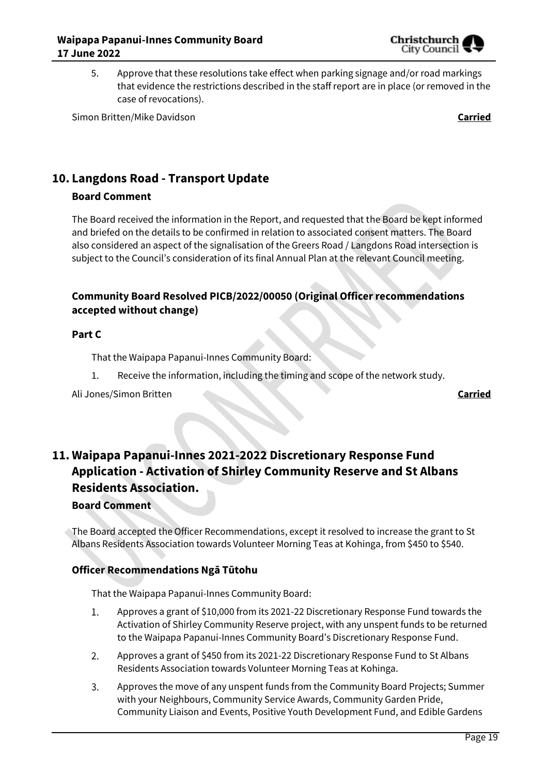

5. Approve that these resolutions take effect when parking signage and/or road markings that evidence the restrictions described in the staff report are in place (or removed in the case of revocations).

Simon Britten/Mike Davidson **Carried**

# **10. Langdons Road - Transport Update**

# **Board Comment**

The Board received the information in the Report, and requested that the Board be kept informed and briefed on the details to be confirmed in relation to associated consent matters. The Board also considered an aspect of the signalisation of the Greers Road / Langdons Road intersection is subject to the Council's consideration of its final Annual Plan at the relevant Council meeting.

# **Community Board Resolved PICB/2022/00050 (Original Officer recommendations accepted without change)**

## **Part C**

That the Waipapa Papanui-Innes Community Board:

- 1. Receive the information, including the timing and scope of the network study.
- Ali Jones/Simon Britten **Carried**

# **11. Waipapa Papanui-Innes 2021-2022 Discretionary Response Fund Application - Activation of Shirley Community Reserve and St Albans Residents Association.**

# **Board Comment**

The Board accepted the Officer Recommendations, except it resolved to increase the grant to St Albans Residents Association towards Volunteer Morning Teas at Kohinga, from \$450 to \$540.

# **Officer Recommendations Ngā Tūtohu**

That the Waipapa Papanui-Innes Community Board:

- Approves a grant of \$10,000 from its 2021-22 Discretionary Response Fund towards the 1. Activation of Shirley Community Reserve project, with any unspent funds to be returned to the Waipapa Papanui-Innes Community Board's Discretionary Response Fund.
- 2. Approves a grant of \$450 from its 2021-22 Discretionary Response Fund to St Albans Residents Association towards Volunteer Morning Teas at Kohinga.
- 3. Approves the move of any unspent funds from the Community Board Projects; Summer with your Neighbours, Community Service Awards, Community Garden Pride, Community Liaison and Events, Positive Youth Development Fund, and Edible Gardens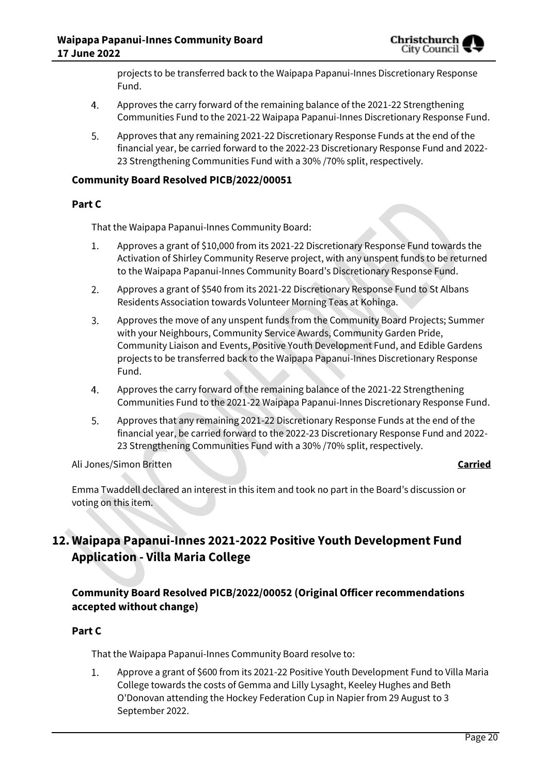projects to be transferred back to the Waipapa Papanui-Innes Discretionary Response Fund.

- 4. Approves the carry forward of the remaining balance of the 2021-22 Strengthening Communities Fund to the 2021-22 Waipapa Papanui-Innes Discretionary Response Fund.
- 5. Approves that any remaining 2021-22 Discretionary Response Funds at the end of the financial year, be carried forward to the 2022-23 Discretionary Response Fund and 2022- 23 Strengthening Communities Fund with a 30% /70% split, respectively.

## **Community Board Resolved PICB/2022/00051**

## **Part C**

That the Waipapa Papanui-Innes Community Board:

- $1.$ Approves a grant of \$10,000 from its 2021-22 Discretionary Response Fund towards the Activation of Shirley Community Reserve project, with any unspent funds to be returned to the Waipapa Papanui-Innes Community Board's Discretionary Response Fund.
- $2.$ Approves a grant of \$540 from its 2021-22 Discretionary Response Fund to St Albans Residents Association towards Volunteer Morning Teas at Kohinga.
- $3.$ Approves the move of any unspent funds from the Community Board Projects; Summer with your Neighbours, Community Service Awards, Community Garden Pride, Community Liaison and Events, Positive Youth Development Fund, and Edible Gardens projects to be transferred back to the Waipapa Papanui-Innes Discretionary Response Fund.
- Approves the carry forward of the remaining balance of the 2021-22 Strengthening  $4.$ Communities Fund to the 2021-22 Waipapa Papanui-Innes Discretionary Response Fund.
- 5. Approves that any remaining 2021-22 Discretionary Response Funds at the end of the financial year, be carried forward to the 2022-23 Discretionary Response Fund and 2022- 23 Strengthening Communities Fund with a 30% /70% split, respectively.

## Ali Jones/Simon Britten **Carried**

Emma Twaddell declared an interest in this item and took no part in the Board's discussion or voting on this item.

# **12. Waipapa Papanui-Innes 2021-2022 Positive Youth Development Fund Application - Villa Maria College**

# **Community Board Resolved PICB/2022/00052 (Original Officer recommendations accepted without change)**

# **Part C**

That the Waipapa Papanui-Innes Community Board resolve to:

Approve a grant of \$600 from its 2021-22 Positive Youth Development Fund to Villa Maria  $1.$ College towards the costs of Gemma and Lilly Lysaght, Keeley Hughes and Beth O'Donovan attending the Hockey Federation Cup in Napier from 29 August to 3 September 2022.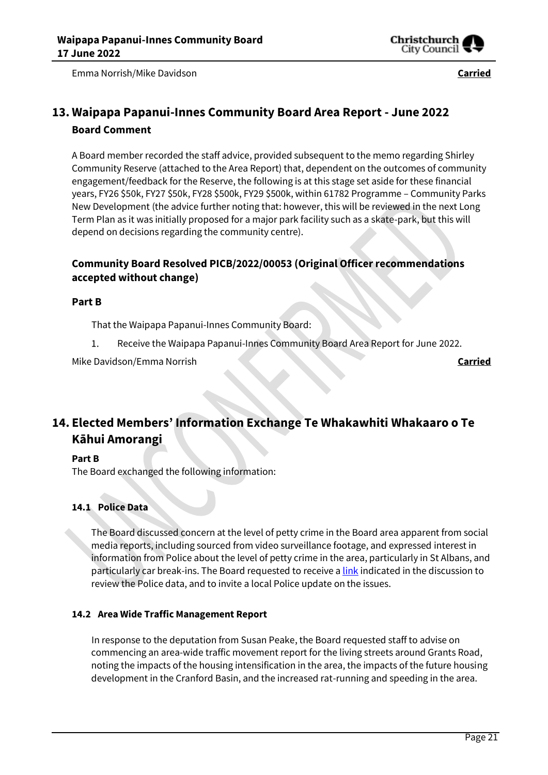

Emma Norrish/Mike Davidson **Carried**

# **13. Waipapa Papanui-Innes Community Board Area Report - June 2022 Board Comment**

A Board member recorded the staff advice, provided subsequent to the memo regarding Shirley Community Reserve (attached to the Area Report) that, dependent on the outcomes of community engagement/feedback for the Reserve, the following is at this stage set aside for these financial years, FY26 \$50k, FY27 \$50k, FY28 \$500k, FY29 \$500k, within 61782 Programme – Community Parks New Development (the advice further noting that: however, this will be reviewed in the next Long Term Plan as it was initially proposed for a major park facility such as a skate-park, but this will depend on decisions regarding the community centre).

# **Community Board Resolved PICB/2022/00053 (Original Officer recommendations accepted without change)**

## **Part B**

That the Waipapa Papanui-Innes Community Board:

Receive the Waipapa Papanui-Innes Community Board Area Report for June 2022. 1.

Mike Davidson/Emma Norrish **Carried**

# **14. Elected Members' Information Exchange Te Whakawhiti Whakaaro o Te Kāhui Amorangi**

## **Part B**

The Board exchanged the following information:

# **14.1 Police Data**

The Board discussed concern at the level of petty crime in the Board area apparent from social media reports, including sourced from video surveillance footage, and expressed interest in information from Police about the level of petty crime in the area, particularly in St Albans, and particularly car break-ins. The Board requested to receive [a link](https://www.police.govt.nz/about-us/publications-statistics/data-and-statistics/policedatanz) indicated in the discussion to review the Police data, and to invite a local Police update on the issues.

## **14.2 Area Wide Traffic Management Report**

In response to the deputation from Susan Peake, the Board requested staff to advise on commencing an area-wide traffic movement report for the living streets around Grants Road, noting the impacts of the housing intensification in the area, the impacts of the future housing development in the Cranford Basin, and the increased rat-running and speeding in the area.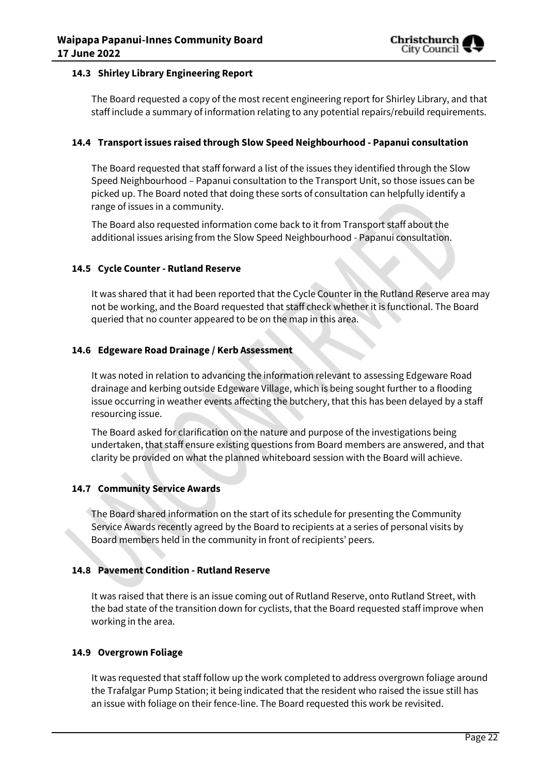

## **14.3 Shirley Library Engineering Report**

The Board requested a copy of the most recent engineering report for Shirley Library, and that staff include a summary of information relating to any potential repairs/rebuild requirements.

## **14.4 Transport issues raised through Slow Speed Neighbourhood - Papanui consultation**

The Board requested that staff forward a list of the issues they identified through the Slow Speed Neighbourhood – Papanui consultation to the Transport Unit, so those issues can be picked up. The Board noted that doing these sorts of consultation can helpfully identify a range of issues in a community.

The Board also requested information come back to it from Transport staff about the additional issues arising from the Slow Speed Neighbourhood - Papanui consultation.

## **14.5 Cycle Counter - Rutland Reserve**

It was shared that it had been reported that the Cycle Counter in the Rutland Reserve area may not be working, and the Board requested that staff check whether it is functional. The Board queried that no counter appeared to be on the map in this area.

## **14.6 Edgeware Road Drainage / Kerb Assessment**

It was noted in relation to advancing the information relevant to assessing Edgeware Road drainage and kerbing outside Edgeware Village, which is being sought further to a flooding issue occurring in weather events affecting the butchery, that this has been delayed by a staff resourcing issue.

The Board asked for clarification on the nature and purpose of the investigations being undertaken, that staff ensure existing questions from Board members are answered, and that clarity be provided on what the planned whiteboard session with the Board will achieve.

### **14.7 Community Service Awards**

The Board shared information on the start of its schedule for presenting the Community Service Awards recently agreed by the Board to recipients at a series of personal visits by Board members held in the community in front of recipients' peers.

### **14.8 Pavement Condition - Rutland Reserve**

It was raised that there is an issue coming out of Rutland Reserve, onto Rutland Street, with the bad state of the transition down for cyclists, that the Board requested staff improve when working in the area.

### **14.9 Overgrown Foliage**

It was requested that staff follow up the work completed to address overgrown foliage around the Trafalgar Pump Station; it being indicated that the resident who raised the issue still has an issue with foliage on their fence-line. The Board requested this work be revisited.